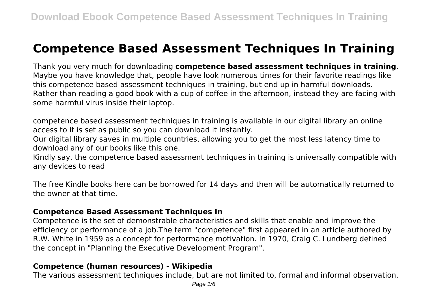# **Competence Based Assessment Techniques In Training**

Thank you very much for downloading **competence based assessment techniques in training**. Maybe you have knowledge that, people have look numerous times for their favorite readings like this competence based assessment techniques in training, but end up in harmful downloads. Rather than reading a good book with a cup of coffee in the afternoon, instead they are facing with some harmful virus inside their laptop.

competence based assessment techniques in training is available in our digital library an online access to it is set as public so you can download it instantly.

Our digital library saves in multiple countries, allowing you to get the most less latency time to download any of our books like this one.

Kindly say, the competence based assessment techniques in training is universally compatible with any devices to read

The free Kindle books here can be borrowed for 14 days and then will be automatically returned to the owner at that time.

#### **Competence Based Assessment Techniques In**

Competence is the set of demonstrable characteristics and skills that enable and improve the efficiency or performance of a job.The term "competence" first appeared in an article authored by R.W. White in 1959 as a concept for performance motivation. In 1970, Craig C. Lundberg defined the concept in "Planning the Executive Development Program".

# **Competence (human resources) - Wikipedia**

The various assessment techniques include, but are not limited to, formal and informal observation,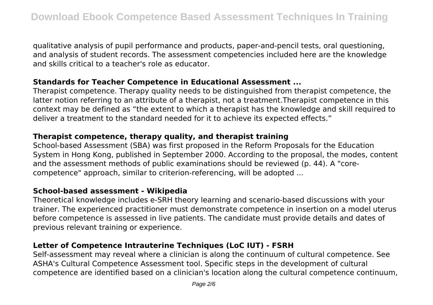qualitative analysis of pupil performance and products, paper-and-pencil tests, oral questioning, and analysis of student records. The assessment competencies included here are the knowledge and skills critical to a teacher's role as educator.

#### **Standards for Teacher Competence in Educational Assessment ...**

Therapist competence. Therapy quality needs to be distinguished from therapist competence, the latter notion referring to an attribute of a therapist, not a treatment.Therapist competence in this context may be defined as "the extent to which a therapist has the knowledge and skill required to deliver a treatment to the standard needed for it to achieve its expected effects."

### **Therapist competence, therapy quality, and therapist training**

School-based Assessment (SBA) was first proposed in the Reform Proposals for the Education System in Hong Kong, published in September 2000. According to the proposal, the modes, content and the assessment methods of public examinations should be reviewed (p. 44). A "corecompetence" approach, similar to criterion-referencing, will be adopted ...

#### **School-based assessment - Wikipedia**

Theoretical knowledge includes e-SRH theory learning and scenario-based discussions with your trainer. The experienced practitioner must demonstrate competence in insertion on a model uterus before competence is assessed in live patients. The candidate must provide details and dates of previous relevant training or experience.

# **Letter of Competence Intrauterine Techniques (LoC IUT) - FSRH**

Self-assessment may reveal where a clinician is along the continuum of cultural competence. See ASHA's Cultural Competence Assessment tool. Specific steps in the development of cultural competence are identified based on a clinician's location along the cultural competence continuum,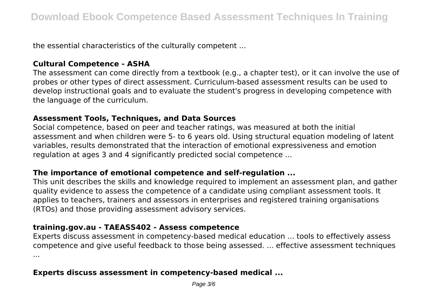the essential characteristics of the culturally competent ...

# **Cultural Competence - ASHA**

The assessment can come directly from a textbook (e.g., a chapter test), or it can involve the use of probes or other types of direct assessment. Curriculum-based assessment results can be used to develop instructional goals and to evaluate the student's progress in developing competence with the language of the curriculum.

# **Assessment Tools, Techniques, and Data Sources**

Social competence, based on peer and teacher ratings, was measured at both the initial assessment and when children were 5- to 6 years old. Using structural equation modeling of latent variables, results demonstrated that the interaction of emotional expressiveness and emotion regulation at ages 3 and 4 significantly predicted social competence ...

# **The importance of emotional competence and self-regulation ...**

This unit describes the skills and knowledge required to implement an assessment plan, and gather quality evidence to assess the competence of a candidate using compliant assessment tools. It applies to teachers, trainers and assessors in enterprises and registered training organisations (RTOs) and those providing assessment advisory services.

# **training.gov.au - TAEASS402 - Assess competence**

Experts discuss assessment in competency-based medical education ... tools to effectively assess competence and give useful feedback to those being assessed. ... effective assessment techniques ...

# **Experts discuss assessment in competency-based medical ...**

Page 3/6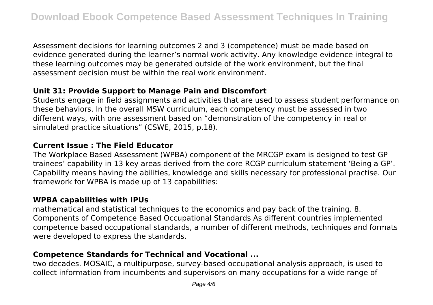Assessment decisions for learning outcomes 2 and 3 (competence) must be made based on evidence generated during the learner's normal work activity. Any knowledge evidence integral to these learning outcomes may be generated outside of the work environment, but the final assessment decision must be within the real work environment.

# **Unit 31: Provide Support to Manage Pain and Discomfort**

Students engage in field assignments and activities that are used to assess student performance on these behaviors. In the overall MSW curriculum, each competency must be assessed in two different ways, with one assessment based on "demonstration of the competency in real or simulated practice situations" (CSWE, 2015, p.18).

# **Current Issue : The Field Educator**

The Workplace Based Assessment (WPBA) component of the MRCGP exam is designed to test GP trainees' capability in 13 key areas derived from the core RCGP curriculum statement 'Being a GP'. Capability means having the abilities, knowledge and skills necessary for professional practise. Our framework for WPBA is made up of 13 capabilities:

# **WPBA capabilities with IPUs**

mathematical and statistical techniques to the economics and pay back of the training. 8. Components of Competence Based Occupational Standards As different countries implemented competence based occupational standards, a number of different methods, techniques and formats were developed to express the standards.

# **Competence Standards for Technical and Vocational ...**

two decades. MOSAIC, a multipurpose, survey-based occupational analysis approach, is used to collect information from incumbents and supervisors on many occupations for a wide range of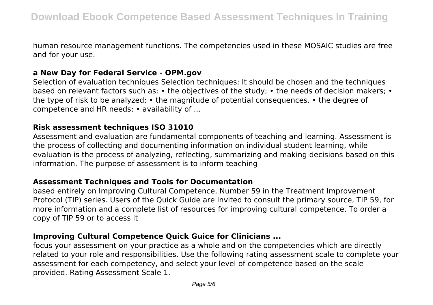human resource management functions. The competencies used in these MOSAIC studies are free and for your use.

#### **a New Day for Federal Service - OPM.gov**

Selection of evaluation techniques Selection techniques: It should be chosen and the techniques based on relevant factors such as: • the objectives of the study; • the needs of decision makers; • the type of risk to be analyzed; • the magnitude of potential consequences. • the degree of competence and HR needs; • availability of ...

#### **Risk assessment techniques ISO 31010**

Assessment and evaluation are fundamental components of teaching and learning. Assessment is the process of collecting and documenting information on individual student learning, while evaluation is the process of analyzing, reflecting, summarizing and making decisions based on this information. The purpose of assessment is to inform teaching

#### **Assessment Techniques and Tools for Documentation**

based entirely on Improving Cultural Competence, Number 59 in the Treatment Improvement Protocol (TIP) series. Users of the Quick Guide are invited to consult the primary source, TIP 59, for more information and a complete list of resources for improving cultural competence. To order a copy of TIP 59 or to access it

# **Improving Cultural Competence Quick Guice for Clinicians ...**

focus your assessment on your practice as a whole and on the competencies which are directly related to your role and responsibilities. Use the following rating assessment scale to complete your assessment for each competency, and select your level of competence based on the scale provided. Rating Assessment Scale 1.